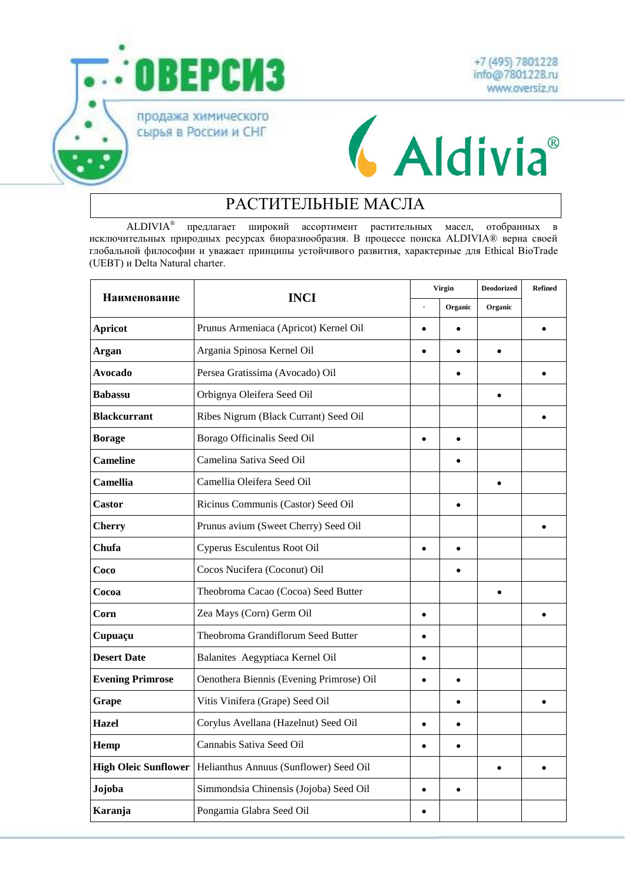



## **CAldivia**®

## РАСТИТЕЛЬНЫЕ МАСЛА

ALDIVIA® предлагает широкий ассортимент растительных масел, отобранных в исключительных природных ресурсах биоразнообразия. В процессе поиска ALDIVIA® верна своей глобальной философии и уважает принципы устойчивого развития, характерные для Ethical BioTrade (UEBT) и Delta Natural charter.

| Наименование                | <b>INCI</b>                              | Virgin    |           | <b>Deodorized</b> | <b>Refined</b> |
|-----------------------------|------------------------------------------|-----------|-----------|-------------------|----------------|
|                             |                                          |           | Organic   | Organic           |                |
| <b>Apricot</b>              | Prunus Armeniaca (Apricot) Kernel Oil    | $\bullet$ | $\bullet$ |                   | $\bullet$      |
| <b>Argan</b>                | Argania Spinosa Kernel Oil               | ٠         | $\bullet$ | $\bullet$         |                |
| <b>Avocado</b>              | Persea Gratissima (Avocado) Oil          |           | ٠         |                   | $\bullet$      |
| <b>Babassu</b>              | Orbignya Oleifera Seed Oil               |           |           |                   |                |
| <b>Blackcurrant</b>         | Ribes Nigrum (Black Currant) Seed Oil    |           |           |                   |                |
| <b>Borage</b>               | Borago Officinalis Seed Oil              | $\bullet$ | $\bullet$ |                   |                |
| <b>Cameline</b>             | Camelina Sativa Seed Oil                 |           |           |                   |                |
| Camellia                    | Camellia Oleifera Seed Oil               |           |           |                   |                |
| Castor                      | Ricinus Communis (Castor) Seed Oil       |           | $\bullet$ |                   |                |
| <b>Cherry</b>               | Prunus avium (Sweet Cherry) Seed Oil     |           |           |                   |                |
| Chufa                       | Cyperus Esculentus Root Oil              | $\bullet$ | $\bullet$ |                   |                |
| Coco                        | Cocos Nucifera (Coconut) Oil             |           |           |                   |                |
| Cocoa                       | Theobroma Cacao (Cocoa) Seed Butter      |           |           | $\bullet$         |                |
| Corn                        | Zea Mays (Corn) Germ Oil                 | $\bullet$ |           |                   | $\bullet$      |
| Cupuaçu                     | Theobroma Grandiflorum Seed Butter       | $\bullet$ |           |                   |                |
| <b>Desert Date</b>          | Balanites Aegyptiaca Kernel Oil          |           |           |                   |                |
| <b>Evening Primrose</b>     | Oenothera Biennis (Evening Primrose) Oil | $\bullet$ | $\bullet$ |                   |                |
| Grape                       | Vitis Vinifera (Grape) Seed Oil          |           | $\bullet$ |                   |                |
| <b>Hazel</b>                | Corylus Avellana (Hazelnut) Seed Oil     | $\bullet$ | $\bullet$ |                   |                |
| Hemp                        | Cannabis Sativa Seed Oil                 | $\bullet$ | $\bullet$ |                   |                |
| <b>High Oleic Sunflower</b> | Helianthus Annuus (Sunflower) Seed Oil   |           |           | $\bullet$         | $\bullet$      |
| Jojoba                      | Simmondsia Chinensis (Jojoba) Seed Oil   | $\bullet$ | $\bullet$ |                   |                |
| Karanja                     | Pongamia Glabra Seed Oil                 |           |           |                   |                |